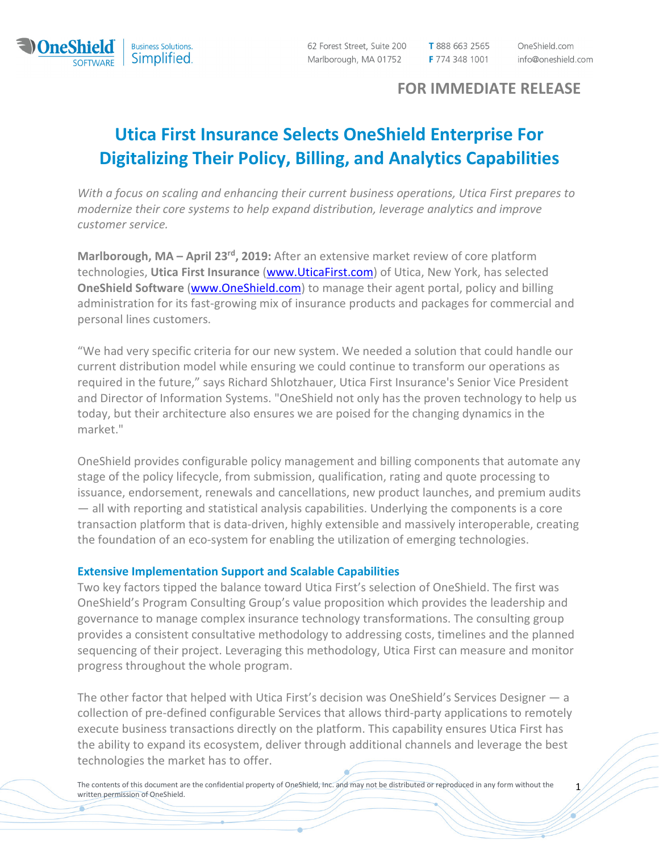

ಕ

62 Forest Street, Suite 200 Marlborough, MA 01752

T 888 663 2565 F 774 348 1001 OneShield.com info@oneshield.com

# FOR IMMEDIATE RELEASE

# Utica First Insurance Selects OneShield Enterprise For Digitalizing Their Policy, Billing, and Analytics Capabilities

With a focus on scaling and enhancing their current business operations, Utica First prepares to modernize their core systems to help expand distribution, leverage analytics and improve customer service.

Marlborough, MA – April 23<sup>rd</sup>, 2019: After an extensive market review of core platform technologies, Utica First Insurance (www.UticaFirst.com) of Utica, New York, has selected OneShield Software (www.OneShield.com) to manage their agent portal, policy and billing administration for its fast-growing mix of insurance products and packages for commercial and personal lines customers.

"We had very specific criteria for our new system. We needed a solution that could handle our current distribution model while ensuring we could continue to transform our operations as required in the future," says Richard Shlotzhauer, Utica First Insurance's Senior Vice President and Director of Information Systems. "OneShield not only has the proven technology to help us today, but their architecture also ensures we are poised for the changing dynamics in the market."

OneShield provides configurable policy management and billing components that automate any stage of the policy lifecycle, from submission, qualification, rating and quote processing to issuance, endorsement, renewals and cancellations, new product launches, and premium audits — all with reporting and statistical analysis capabilities. Underlying the components is a core transaction platform that is data-driven, highly extensible and massively interoperable, creating the foundation of an eco-system for enabling the utilization of emerging technologies.

### Extensive Implementation Support and Scalable Capabilities

Two key factors tipped the balance toward Utica First's selection of OneShield. The first was OneShield's Program Consulting Group's value proposition which provides the leadership and governance to manage complex insurance technology transformations. The consulting group provides a consistent consultative methodology to addressing costs, timelines and the planned sequencing of their project. Leveraging this methodology, Utica First can measure and monitor progress throughout the whole program.

The other factor that helped with Utica First's decision was OneShield's Services Designer — a collection of pre-defined configurable Services that allows third-party applications to remotely execute business transactions directly on the platform. This capability ensures Utica First has the ability to expand its ecosystem, deliver through additional channels and leverage the best technologies the market has to offer.

The contents of this document are the confidential property of OneShield, Inc. and may not be distributed or reproduced in any form without the written permission of OneShield.

1